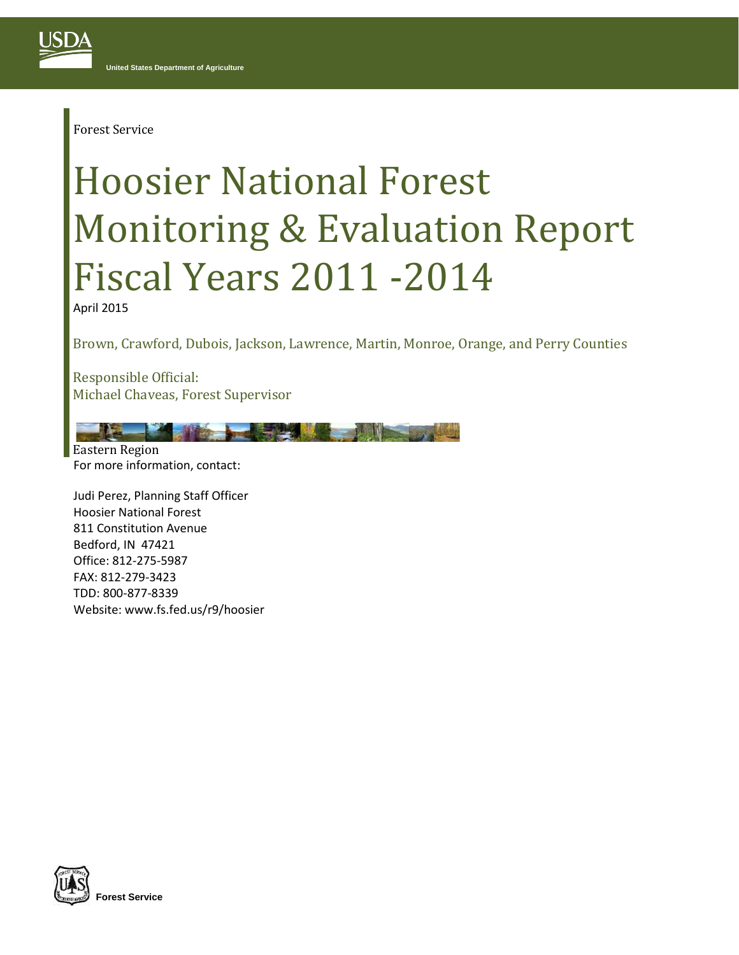Forest Service

# Hoosier National Forest Monitoring & Evaluation Report Fiscal Years 2011 -2014

April 2015

Brown, Crawford, Dubois, Jackson, Lawrence, Martin, Monroe, Orange, and Perry Counties

Responsible Official: Michael Chaveas, Forest Supervisor

For more information, contact: Eastern Region

Judi Perez, Planning Staff Officer Hoosier National Forest 811 Constitution Avenue Bedford, IN 47421 Office: 812-275-5987 FAX: 812-279-3423 TDD: 800-877-8339 Website: www.fs.fed.us/r9/hoosier

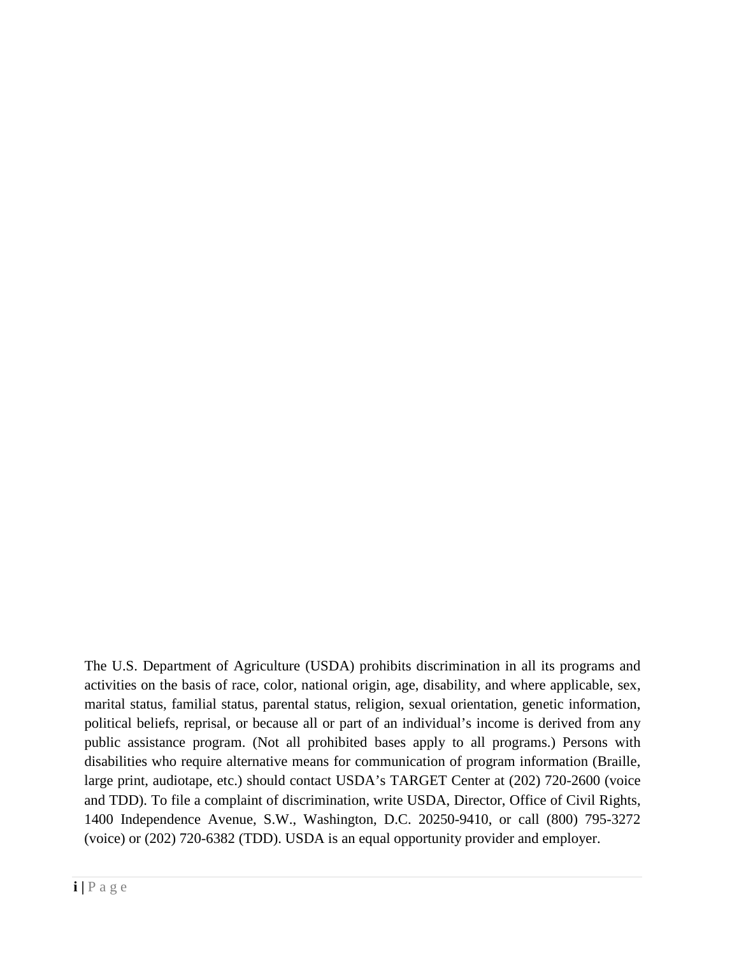The U.S. Department of Agriculture (USDA) prohibits discrimination in all its programs and activities on the basis of race, color, national origin, age, disability, and where applicable, sex, marital status, familial status, parental status, religion, sexual orientation, genetic information, political beliefs, reprisal, or because all or part of an individual's income is derived from any public assistance program. (Not all prohibited bases apply to all programs.) Persons with disabilities who require alternative means for communication of program information (Braille, large print, audiotape, etc.) should contact USDA's TARGET Center at (202) 720-2600 (voice and TDD). To file a complaint of discrimination, write USDA, Director, Office of Civil Rights, 1400 Independence Avenue, S.W., Washington, D.C. 20250-9410, or call (800) 795-3272 (voice) or (202) 720-6382 (TDD). USDA is an equal opportunity provider and employer.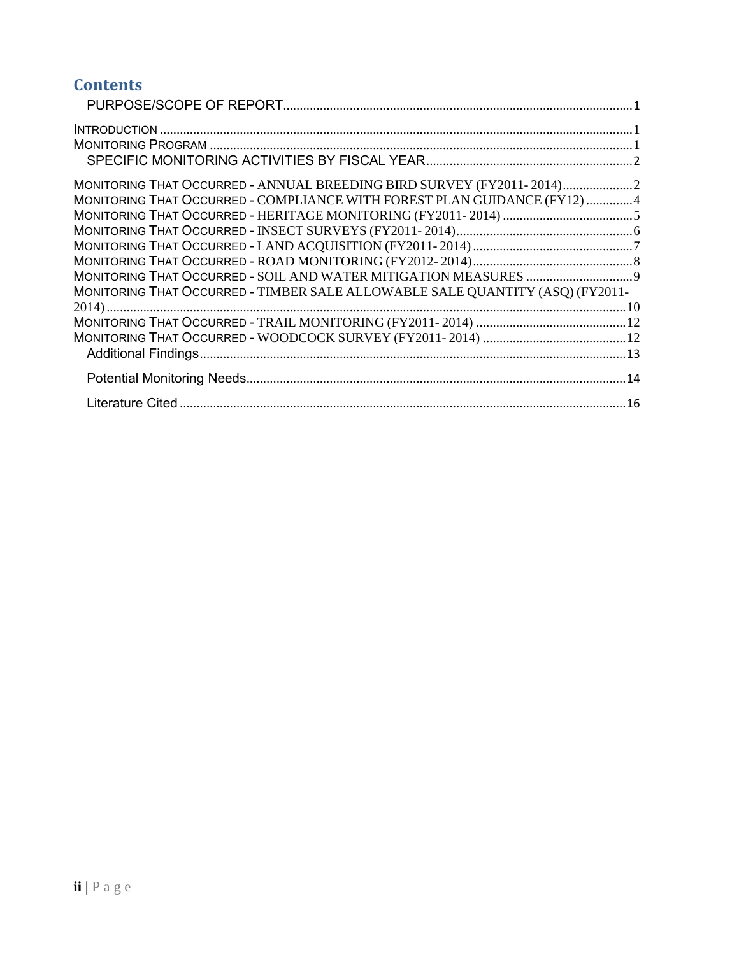# **Contents**

| MONITORING THAT OCCURRED - ANNUAL BREEDING BIRD SURVEY (FY2011-2014)2<br>MONITORING THAT OCCURRED - COMPLIANCE WITH FOREST PLAN GUIDANCE (FY12) 4 |  |
|---------------------------------------------------------------------------------------------------------------------------------------------------|--|
|                                                                                                                                                   |  |
|                                                                                                                                                   |  |
| MONITORING THAT OCCURRED - TIMBER SALE ALLOWABLE SALE QUANTITY (ASQ) (FY2011-                                                                     |  |
|                                                                                                                                                   |  |
|                                                                                                                                                   |  |
|                                                                                                                                                   |  |
|                                                                                                                                                   |  |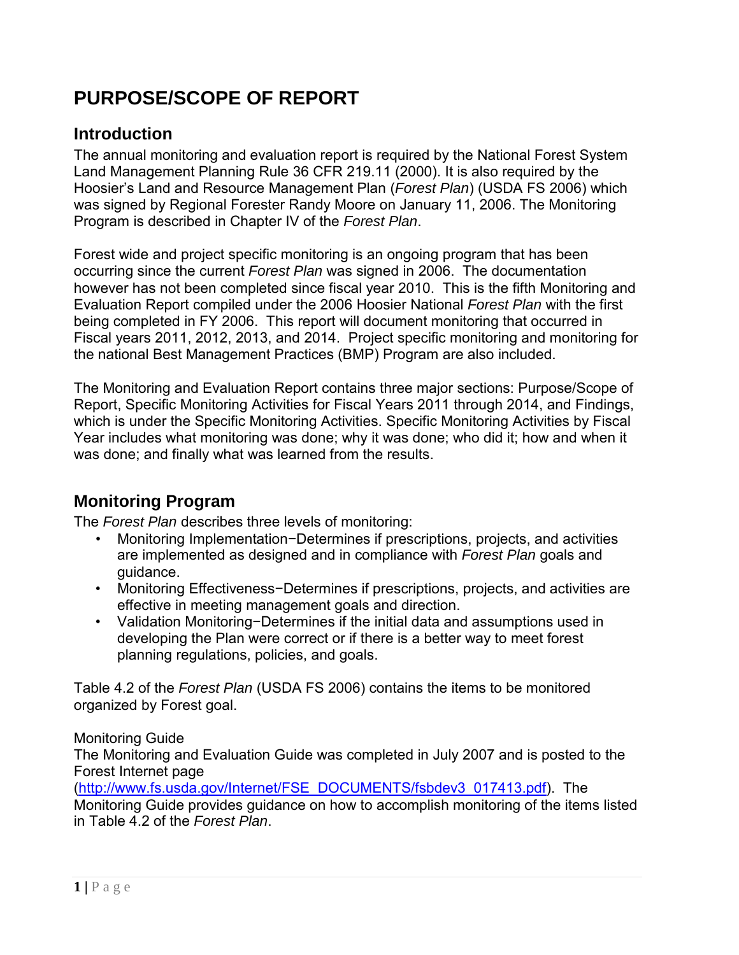# <span id="page-3-0"></span>**PURPOSE/SCOPE OF REPORT**

#### <span id="page-3-1"></span>**Introduction**

The annual monitoring and evaluation report is required by the National Forest System Land Management Planning Rule 36 CFR 219.11 (2000). It is also required by the Hoosier's Land and Resource Management Plan (*Forest Plan*) (USDA FS 2006) which was signed by Regional Forester Randy Moore on January 11, 2006. The Monitoring Program is described in Chapter IV of the *Forest Plan*.

Forest wide and project specific monitoring is an ongoing program that has been occurring since the current *Forest Plan* was signed in 2006. The documentation however has not been completed since fiscal year 2010. This is the fifth Monitoring and Evaluation Report compiled under the 2006 Hoosier National *Forest Plan* with the first being completed in FY 2006. This report will document monitoring that occurred in Fiscal years 2011, 2012, 2013, and 2014. Project specific monitoring and monitoring for the national Best Management Practices (BMP) Program are also included.

The Monitoring and Evaluation Report contains three major sections: Purpose/Scope of Report, Specific Monitoring Activities for Fiscal Years 2011 through 2014, and Findings, which is under the Specific Monitoring Activities. Specific Monitoring Activities by Fiscal Year includes what monitoring was done; why it was done; who did it; how and when it was done; and finally what was learned from the results.

# <span id="page-3-2"></span>**Monitoring Program**

The *Forest Plan* describes three levels of monitoring:

- Monitoring Implementation−Determines if prescriptions, projects, and activities are implemented as designed and in compliance with *Forest Plan* goals and guidance.
- Monitoring Effectiveness−Determines if prescriptions, projects, and activities are effective in meeting management goals and direction.
- Validation Monitoring−Determines if the initial data and assumptions used in developing the Plan were correct or if there is a better way to meet forest planning regulations, policies, and goals.

Table 4.2 of the *Forest Plan* (USDA FS 2006) contains the items to be monitored organized by Forest goal.

#### Monitoring Guide

The Monitoring and Evaluation Guide was completed in July 2007 and is posted to the Forest Internet page

[\(http://www.fs.usda.gov/Internet/FSE\\_DOCUMENTS/fsbdev3\\_017413.pdf\)](http://www.fs.usda.gov/Internet/FSE_DOCUMENTS/fsbdev3_017413.pdf). The Monitoring Guide provides guidance on how to accomplish monitoring of the items listed in Table 4.2 of the *Forest Plan*.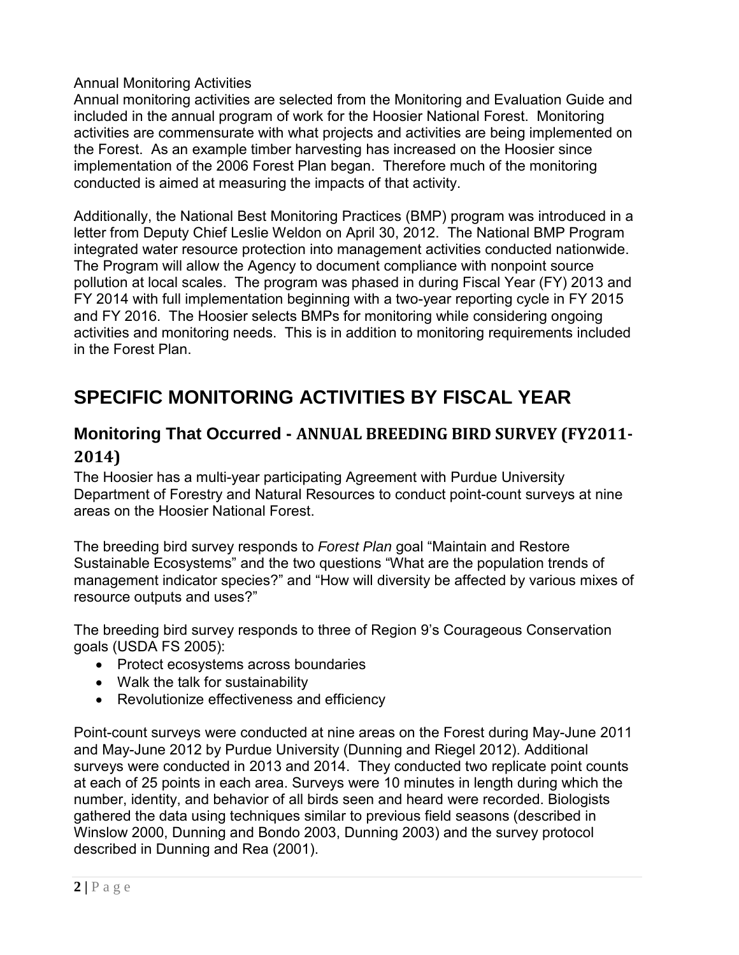#### Annual Monitoring Activities

Annual monitoring activities are selected from the Monitoring and Evaluation Guide and included in the annual program of work for the Hoosier National Forest. Monitoring activities are commensurate with what projects and activities are being implemented on the Forest. As an example timber harvesting has increased on the Hoosier since implementation of the 2006 Forest Plan began. Therefore much of the monitoring conducted is aimed at measuring the impacts of that activity.

Additionally, the National Best Monitoring Practices (BMP) program was introduced in a letter from Deputy Chief Leslie Weldon on April 30, 2012. The National BMP Program integrated water resource protection into management activities conducted nationwide. The Program will allow the Agency to document compliance with nonpoint source pollution at local scales. The program was phased in during Fiscal Year (FY) 2013 and FY 2014 with full implementation beginning with a two-year reporting cycle in FY 2015 and FY 2016. The Hoosier selects BMPs for monitoring while considering ongoing activities and monitoring needs. This is in addition to monitoring requirements included in the Forest Plan.

# <span id="page-4-0"></span>**SPECIFIC MONITORING ACTIVITIES BY FISCAL YEAR**

#### <span id="page-4-1"></span>**Monitoring That Occurred - ANNUAL BREEDING BIRD SURVEY (FY2011- 2014)**

The Hoosier has a multi-year participating Agreement with Purdue University Department of Forestry and Natural Resources to conduct point-count surveys at nine areas on the Hoosier National Forest.

The breeding bird survey responds to *Forest Plan* goal "Maintain and Restore Sustainable Ecosystems" and the two questions "What are the population trends of management indicator species?" and "How will diversity be affected by various mixes of resource outputs and uses?"

The breeding bird survey responds to three of Region 9's Courageous Conservation goals (USDA FS 2005):

- Protect ecosystems across boundaries
- Walk the talk for sustainability
- Revolutionize effectiveness and efficiency

Point-count surveys were conducted at nine areas on the Forest during May-June 2011 and May-June 2012 by Purdue University (Dunning and Riegel 2012). Additional surveys were conducted in 2013 and 2014. They conducted two replicate point counts at each of 25 points in each area. Surveys were 10 minutes in length during which the number, identity, and behavior of all birds seen and heard were recorded. Biologists gathered the data using techniques similar to previous field seasons (described in Winslow 2000, Dunning and Bondo 2003, Dunning 2003) and the survey protocol described in Dunning and Rea (2001).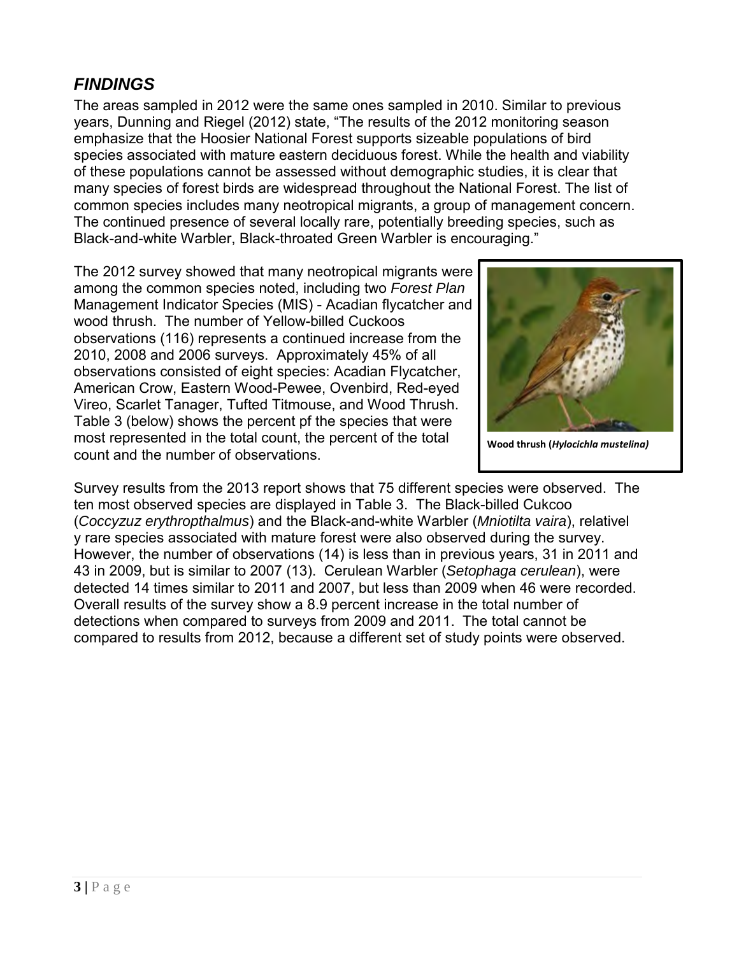The areas sampled in 2012 were the same ones sampled in 2010. Similar to previous years, Dunning and Riegel (2012) state, "The results of the 2012 monitoring season emphasize that the Hoosier National Forest supports sizeable populations of bird species associated with mature eastern deciduous forest. While the health and viability of these populations cannot be assessed without demographic studies, it is clear that many species of forest birds are widespread throughout the National Forest. The list of common species includes many neotropical migrants, a group of management concern. The continued presence of several locally rare, potentially breeding species, such as Black-and-white Warbler, Black-throated Green Warbler is encouraging."

The 2012 survey showed that many neotropical migrants were among the common species noted, including two *Forest Plan* Management Indicator Species (MIS) - Acadian flycatcher and wood thrush. The number of Yellow-billed Cuckoos observations (116) represents a continued increase from the 2010, 2008 and 2006 surveys. Approximately 45% of all observations consisted of eight species: Acadian Flycatcher, American Crow, Eastern Wood-Pewee, Ovenbird, Red-eyed Vireo, Scarlet Tanager, Tufted Titmouse, and Wood Thrush. Table 3 (below) shows the percent pf the species that were most represented in the total count, the percent of the total count and the number of observations.



**Wood thrush (***Hylocichla mustelina)*

Survey results from the 2013 report shows that 75 different species were observed. The ten most observed species are displayed in Table 3. The Black-billed Cukcoo (*Coccyzuz erythropthalmus*) and the Black-and-white Warbler (*Mniotilta vaira*), relativel y rare species associated with mature forest were also observed during the survey. However, the number of observations (14) is less than in previous years, 31 in 2011 and 43 in 2009, but is similar to 2007 (13). Cerulean Warbler (*Setophaga cerulean*), were detected 14 times similar to 2011 and 2007, but less than 2009 when 46 were recorded. Overall results of the survey show a 8.9 percent increase in the total number of detections when compared to surveys from 2009 and 2011. The total cannot be compared to results from 2012, because a different set of study points were observed.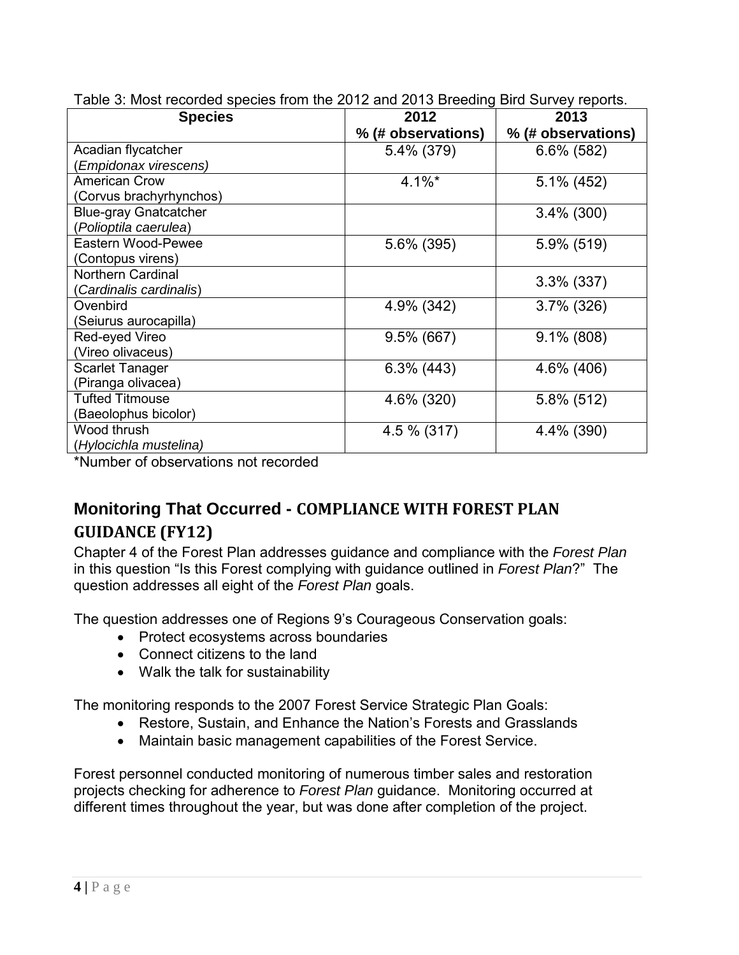| <b>Species</b>               | 2012               | 2013               |  |
|------------------------------|--------------------|--------------------|--|
|                              | % (# observations) | % (# observations) |  |
| Acadian flycatcher           | 5.4% (379)         | $6.6\%$ (582)      |  |
| Empidonax virescens)         |                    |                    |  |
| <b>American Crow</b>         | $4.1\%$ *          | $5.1\%$ (452)      |  |
| (Corvus brachyrhynchos)      |                    |                    |  |
| <b>Blue-gray Gnatcatcher</b> |                    | $3.4\%$ (300)      |  |
| (Polioptila caerulea)        |                    |                    |  |
| Eastern Wood-Pewee           | 5.6% (395)         | 5.9% (519)         |  |
| (Contopus virens)            |                    |                    |  |
| <b>Northern Cardinal</b>     |                    | $3.3\%$ (337)      |  |
| Cardinalis cardinalis)       |                    |                    |  |
| Ovenbird                     | 4.9% (342)         | $3.7\%$ (326)      |  |
| (Seiurus aurocapilla)        |                    |                    |  |
| Red-eyed Vireo               | $9.5\%$ (667)      | $9.1\%$ (808)      |  |
| (Vireo olivaceus)            |                    |                    |  |
| <b>Scarlet Tanager</b>       | $6.3\%$ (443)      | 4.6% (406)         |  |
| (Piranga olivacea)           |                    |                    |  |
| <b>Tufted Titmouse</b>       | 4.6% (320)         | $5.8\%$ (512)      |  |
| (Baeolophus bicolor)         |                    |                    |  |
| Wood thrush                  | 4.5 % (317)        | 4.4% (390)         |  |
| (Hylocichla mustelina)       |                    |                    |  |

Table 3: Most recorded species from the 2012 and 2013 Breeding Bird Survey reports.

\*Number of observations not recorded

# <span id="page-6-0"></span>**Monitoring That Occurred - COMPLIANCE WITH FOREST PLAN GUIDANCE (FY12)**

Chapter 4 of the Forest Plan addresses guidance and compliance with the *Forest Plan* in this question "Is this Forest complying with guidance outlined in *Forest Plan*?" The question addresses all eight of the *Forest Plan* goals.

The question addresses one of Regions 9's Courageous Conservation goals:

- Protect ecosystems across boundaries
- Connect citizens to the land
- Walk the talk for sustainability

The monitoring responds to the 2007 Forest Service Strategic Plan Goals:

- Restore, Sustain, and Enhance the Nation's Forests and Grasslands
- Maintain basic management capabilities of the Forest Service.

Forest personnel conducted monitoring of numerous timber sales and restoration projects checking for adherence to *Forest Plan* guidance. Monitoring occurred at different times throughout the year, but was done after completion of the project.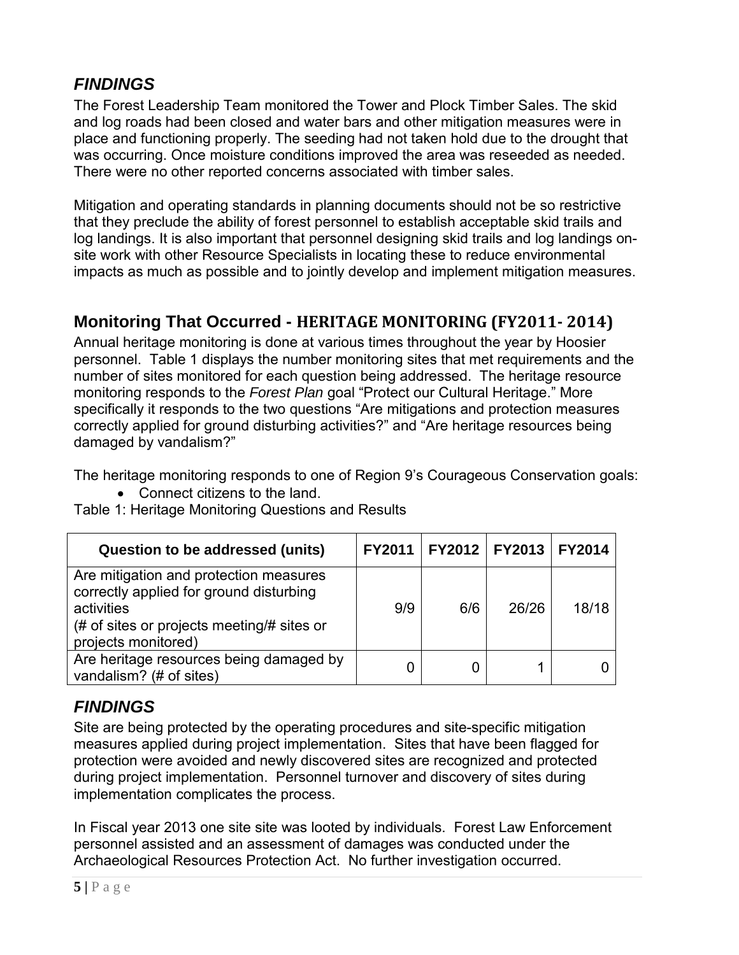The Forest Leadership Team monitored the Tower and Plock Timber Sales. The skid and log roads had been closed and water bars and other mitigation measures were in place and functioning properly. The seeding had not taken hold due to the drought that was occurring. Once moisture conditions improved the area was reseeded as needed. There were no other reported concerns associated with timber sales.

Mitigation and operating standards in planning documents should not be so restrictive that they preclude the ability of forest personnel to establish acceptable skid trails and log landings. It is also important that personnel designing skid trails and log landings onsite work with other Resource Specialists in locating these to reduce environmental impacts as much as possible and to jointly develop and implement mitigation measures.

#### <span id="page-7-0"></span>**Monitoring That Occurred - HERITAGE MONITORING (FY2011- 2014)**

Annual heritage monitoring is done at various times throughout the year by Hoosier personnel. Table 1 displays the number monitoring sites that met requirements and the number of sites monitored for each question being addressed. The heritage resource monitoring responds to the *Forest Plan* goal "Protect our Cultural Heritage." More specifically it responds to the two questions "Are mitigations and protection measures correctly applied for ground disturbing activities?" and "Are heritage resources being damaged by vandalism?"

The heritage monitoring responds to one of Region 9's Courageous Conservation goals:

• Connect citizens to the land.

Table 1: Heritage Monitoring Questions and Results

| <b>Question to be addressed (units)</b>                                                                                                                              |     | FY2011   FY2012   FY2013 |       | <b>FY2014</b> |
|----------------------------------------------------------------------------------------------------------------------------------------------------------------------|-----|--------------------------|-------|---------------|
| Are mitigation and protection measures<br>correctly applied for ground disturbing<br>activities<br>(# of sites or projects meeting/# sites or<br>projects monitored) | 9/9 | 6/6                      | 26/26 | 18/18         |
| Are heritage resources being damaged by<br>vandalism? (# of sites)                                                                                                   |     |                          |       |               |

# *FINDINGS*

Site are being protected by the operating procedures and site-specific mitigation measures applied during project implementation. Sites that have been flagged for protection were avoided and newly discovered sites are recognized and protected during project implementation. Personnel turnover and discovery of sites during implementation complicates the process.

In Fiscal year 2013 one site site was looted by individuals. Forest Law Enforcement personnel assisted and an assessment of damages was conducted under the Archaeological Resources Protection Act. No further investigation occurred.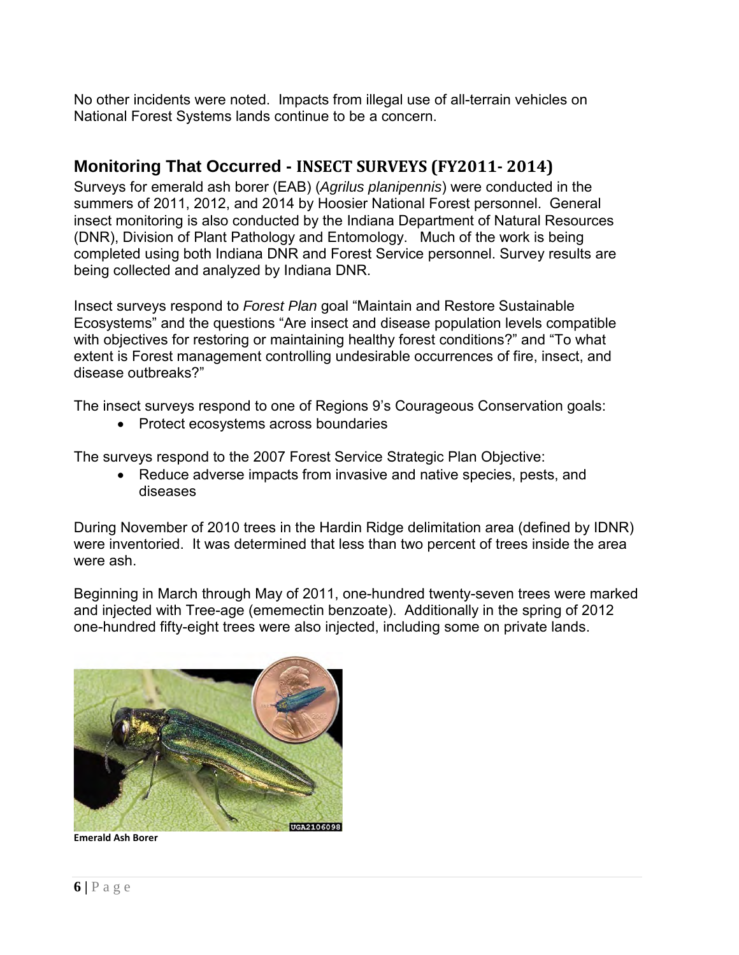No other incidents were noted. Impacts from illegal use of all-terrain vehicles on National Forest Systems lands continue to be a concern.

#### <span id="page-8-0"></span>**Monitoring That Occurred - INSECT SURVEYS (FY2011- 2014)**

Surveys for emerald ash borer (EAB) (*Agrilus planipennis*) were conducted in the summers of 2011, 2012, and 2014 by Hoosier National Forest personnel. General insect monitoring is also conducted by the Indiana Department of Natural Resources (DNR), Division of Plant Pathology and Entomology. Much of the work is being completed using both Indiana DNR and Forest Service personnel. Survey results are being collected and analyzed by Indiana DNR.

Insect surveys respond to *Forest Plan* goal "Maintain and Restore Sustainable Ecosystems" and the questions "Are insect and disease population levels compatible with objectives for restoring or maintaining healthy forest conditions?" and "To what extent is Forest management controlling undesirable occurrences of fire, insect, and disease outbreaks?"

The insect surveys respond to one of Regions 9's Courageous Conservation goals:

• Protect ecosystems across boundaries

The surveys respond to the 2007 Forest Service Strategic Plan Objective:

• Reduce adverse impacts from invasive and native species, pests, and diseases

During November of 2010 trees in the Hardin Ridge delimitation area (defined by IDNR) were inventoried. It was determined that less than two percent of trees inside the area were ash.

Beginning in March through May of 2011, one-hundred twenty-seven trees were marked and injected with Tree-age (ememectin benzoate). Additionally in the spring of 2012 one-hundred fifty-eight trees were also injected, including some on private lands.



**Emerald Ash Borer**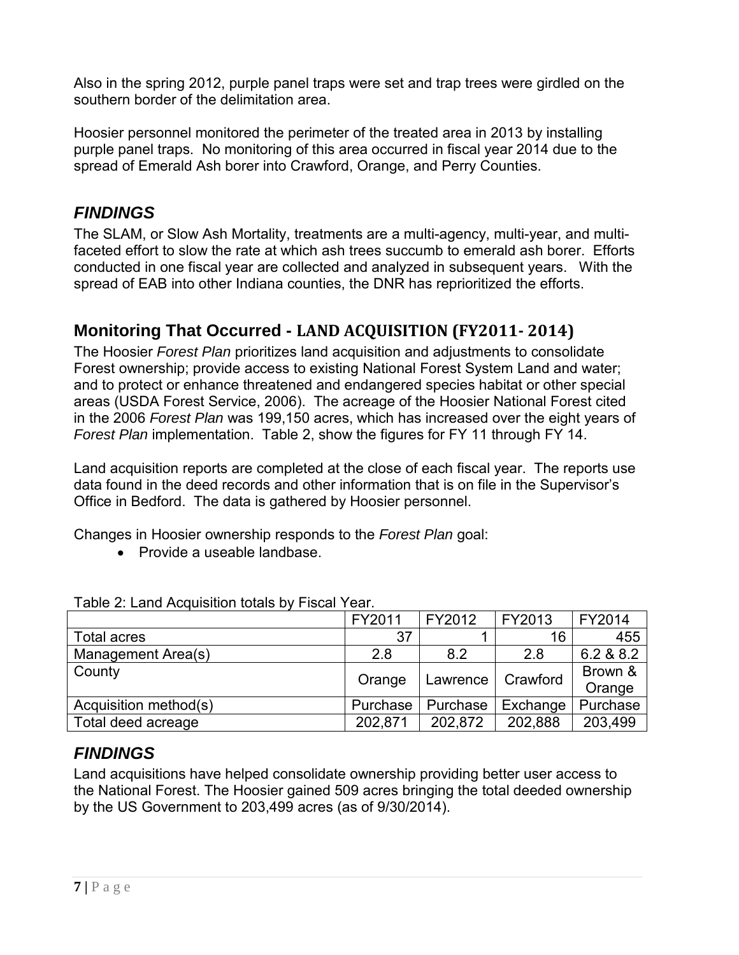Also in the spring 2012, purple panel traps were set and trap trees were girdled on the southern border of the delimitation area.

Hoosier personnel monitored the perimeter of the treated area in 2013 by installing purple panel traps. No monitoring of this area occurred in fiscal year 2014 due to the spread of Emerald Ash borer into Crawford, Orange, and Perry Counties.

## *FINDINGS*

The SLAM, or Slow Ash Mortality, treatments are a multi-agency, multi-year, and multifaceted effort to slow the rate at which ash trees succumb to emerald ash borer. Efforts conducted in one fiscal year are collected and analyzed in subsequent years. With the spread of EAB into other Indiana counties, the DNR has reprioritized the efforts.

#### <span id="page-9-0"></span>**Monitoring That Occurred - LAND ACQUISITION (FY2011- 2014)**

The Hoosier *Forest Plan* prioritizes land acquisition and adjustments to consolidate Forest ownership; provide access to existing National Forest System Land and water; and to protect or enhance threatened and endangered species habitat or other special areas (USDA Forest Service, 2006). The acreage of the Hoosier National Forest cited in the 2006 *Forest Plan* was 199,150 acres, which has increased over the eight years of *Forest Plan* implementation. Table 2, show the figures for FY 11 through FY 14.

Land acquisition reports are completed at the close of each fiscal year. The reports use data found in the deed records and other information that is on file in the Supervisor's Office in Bedford. The data is gathered by Hoosier personnel.

Changes in Hoosier ownership responds to the *Forest Plan* goal:

• Provide a useable landbase.

|                       | FY2011   | FY2012   | FY2013   | FY2014            |  |  |
|-----------------------|----------|----------|----------|-------------------|--|--|
| Total acres           | 37       |          | 16       | 455               |  |  |
| Management Area(s)    | 2.8      | 8.2      | 2.8      | 6.2 & 8.2         |  |  |
| County                | Orange   | Lawrence | Crawford | Brown &<br>Orange |  |  |
| Acquisition method(s) | Purchase | Purchase | Exchange | Purchase          |  |  |
| Total deed acreage    | 202,871  | 202,872  | 202,888  | 203,499           |  |  |

#### Table 2: Land Acquisition totals by Fiscal Year.

#### *FINDINGS*

Land acquisitions have helped consolidate ownership providing better user access to the National Forest. The Hoosier gained 509 acres bringing the total deeded ownership by the US Government to 203,499 acres (as of 9/30/2014).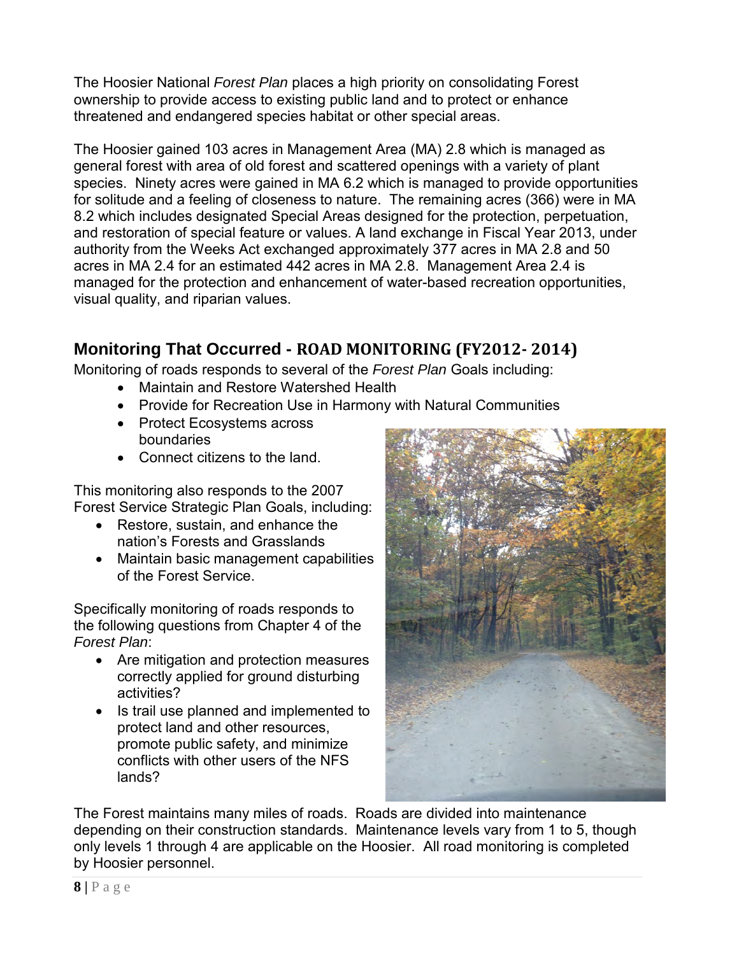The Hoosier National *Forest Plan* places a high priority on consolidating Forest ownership to provide access to existing public land and to protect or enhance threatened and endangered species habitat or other special areas.

The Hoosier gained 103 acres in Management Area (MA) 2.8 which is managed as general forest with area of old forest and scattered openings with a variety of plant species. Ninety acres were gained in MA 6.2 which is managed to provide opportunities for solitude and a feeling of closeness to nature. The remaining acres (366) were in MA 8.2 which includes designated Special Areas designed for the protection, perpetuation, and restoration of special feature or values. A land exchange in Fiscal Year 2013, under authority from the Weeks Act exchanged approximately 377 acres in MA 2.8 and 50 acres in MA 2.4 for an estimated 442 acres in MA 2.8. Management Area 2.4 is managed for the protection and enhancement of water-based recreation opportunities, visual quality, and riparian values.

#### <span id="page-10-0"></span>**Monitoring That Occurred - ROAD MONITORING (FY2012- 2014)**

Monitoring of roads responds to several of the *Forest Plan* Goals including:

- Maintain and Restore Watershed Health
- Provide for Recreation Use in Harmony with Natural Communities
- Protect Ecosystems across boundaries
- Connect citizens to the land.

This monitoring also responds to the 2007 Forest Service Strategic Plan Goals, including:

- Restore, sustain, and enhance the nation's Forests and Grasslands
- Maintain basic management capabilities of the Forest Service.

Specifically monitoring of roads responds to the following questions from Chapter 4 of the *Forest Plan*:

- Are mitigation and protection measures correctly applied for ground disturbing activities?
- Is trail use planned and implemented to protect land and other resources, promote public safety, and minimize conflicts with other users of the NFS lands?



The Forest maintains many miles of roads. Roads are divided into maintenance depending on their construction standards. Maintenance levels vary from 1 to 5, though only levels 1 through 4 are applicable on the Hoosier. All road monitoring is completed by Hoosier personnel.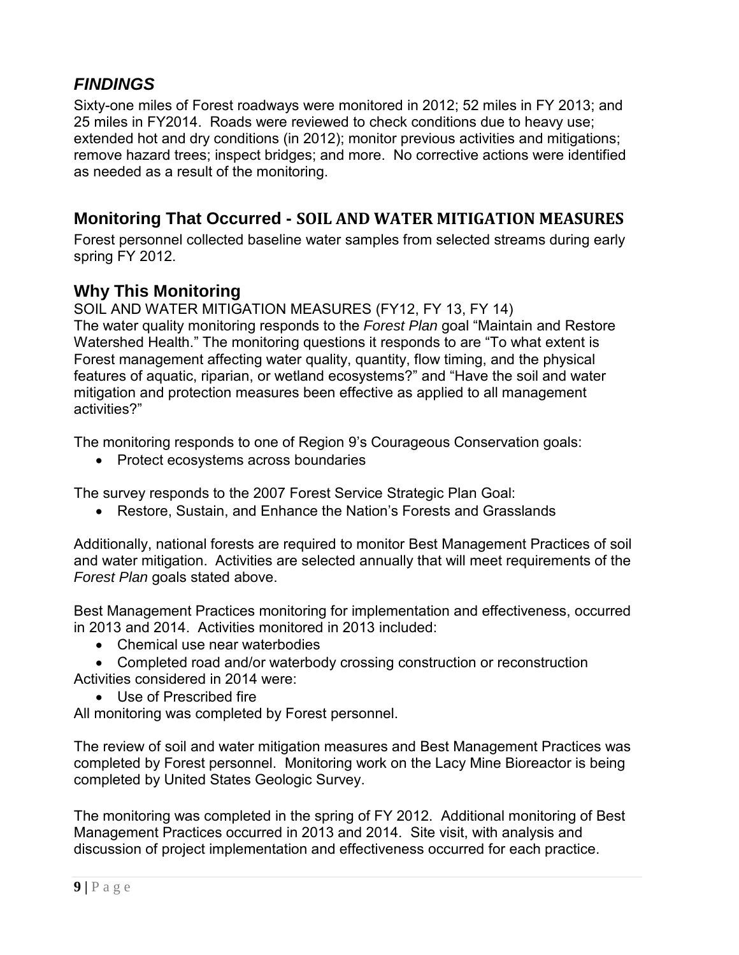Sixty-one miles of Forest roadways were monitored in 2012; 52 miles in FY 2013; and 25 miles in FY2014. Roads were reviewed to check conditions due to heavy use; extended hot and dry conditions (in 2012); monitor previous activities and mitigations; remove hazard trees; inspect bridges; and more. No corrective actions were identified as needed as a result of the monitoring.

#### <span id="page-11-0"></span>**Monitoring That Occurred - SOIL AND WATER MITIGATION MEASURES**

Forest personnel collected baseline water samples from selected streams during early spring FY 2012.

#### **Why This Monitoring**

SOIL AND WATER MITIGATION MEASURES (FY12, FY 13, FY 14)

The water quality monitoring responds to the *Forest Plan* goal "Maintain and Restore Watershed Health." The monitoring questions it responds to are "To what extent is Forest management affecting water quality, quantity, flow timing, and the physical features of aquatic, riparian, or wetland ecosystems?" and "Have the soil and water mitigation and protection measures been effective as applied to all management activities?"

The monitoring responds to one of Region 9's Courageous Conservation goals:

• Protect ecosystems across boundaries

The survey responds to the 2007 Forest Service Strategic Plan Goal:

• Restore, Sustain, and Enhance the Nation's Forests and Grasslands

Additionally, national forests are required to monitor Best Management Practices of soil and water mitigation. Activities are selected annually that will meet requirements of the *Forest Plan* goals stated above.

Best Management Practices monitoring for implementation and effectiveness, occurred in 2013 and 2014. Activities monitored in 2013 included:

• Chemical use near waterbodies

• Completed road and/or waterbody crossing construction or reconstruction Activities considered in 2014 were:

• Use of Prescribed fire

All monitoring was completed by Forest personnel.

The review of soil and water mitigation measures and Best Management Practices was completed by Forest personnel. Monitoring work on the Lacy Mine Bioreactor is being completed by United States Geologic Survey.

The monitoring was completed in the spring of FY 2012. Additional monitoring of Best Management Practices occurred in 2013 and 2014. Site visit, with analysis and discussion of project implementation and effectiveness occurred for each practice.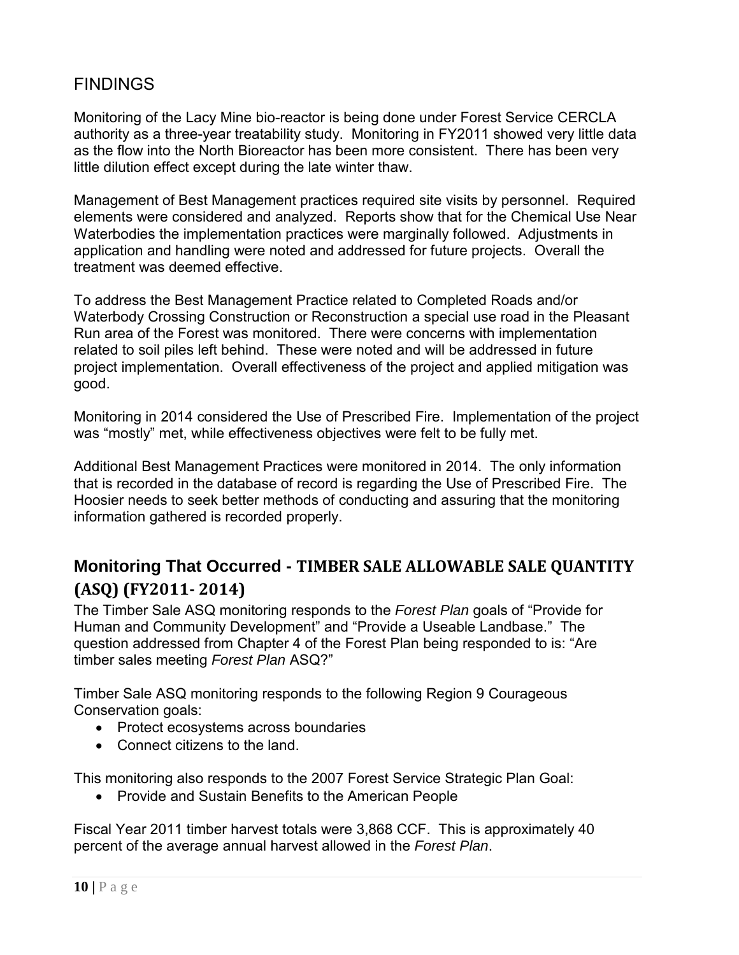Monitoring of the Lacy Mine bio-reactor is being done under Forest Service CERCLA authority as a three-year treatability study. Monitoring in FY2011 showed very little data as the flow into the North Bioreactor has been more consistent. There has been very little dilution effect except during the late winter thaw.

Management of Best Management practices required site visits by personnel. Required elements were considered and analyzed. Reports show that for the Chemical Use Near Waterbodies the implementation practices were marginally followed. Adjustments in application and handling were noted and addressed for future projects. Overall the treatment was deemed effective.

To address the Best Management Practice related to Completed Roads and/or Waterbody Crossing Construction or Reconstruction a special use road in the Pleasant Run area of the Forest was monitored. There were concerns with implementation related to soil piles left behind. These were noted and will be addressed in future project implementation. Overall effectiveness of the project and applied mitigation was good.

Monitoring in 2014 considered the Use of Prescribed Fire. Implementation of the project was "mostly" met, while effectiveness objectives were felt to be fully met.

Additional Best Management Practices were monitored in 2014. The only information that is recorded in the database of record is regarding the Use of Prescribed Fire. The Hoosier needs to seek better methods of conducting and assuring that the monitoring information gathered is recorded properly.

#### <span id="page-12-0"></span>**Monitoring That Occurred - TIMBER SALE ALLOWABLE SALE QUANTITY (ASQ) (FY2011- 2014)**

The Timber Sale ASQ monitoring responds to the *Forest Plan* goals of "Provide for Human and Community Development" and "Provide a Useable Landbase." The question addressed from Chapter 4 of the Forest Plan being responded to is: "Are timber sales meeting *Forest Plan* ASQ?"

Timber Sale ASQ monitoring responds to the following Region 9 Courageous Conservation goals:

- Protect ecosystems across boundaries
- Connect citizens to the land.

This monitoring also responds to the 2007 Forest Service Strategic Plan Goal:

• Provide and Sustain Benefits to the American People

Fiscal Year 2011 timber harvest totals were 3,868 CCF. This is approximately 40 percent of the average annual harvest allowed in the *Forest Plan*.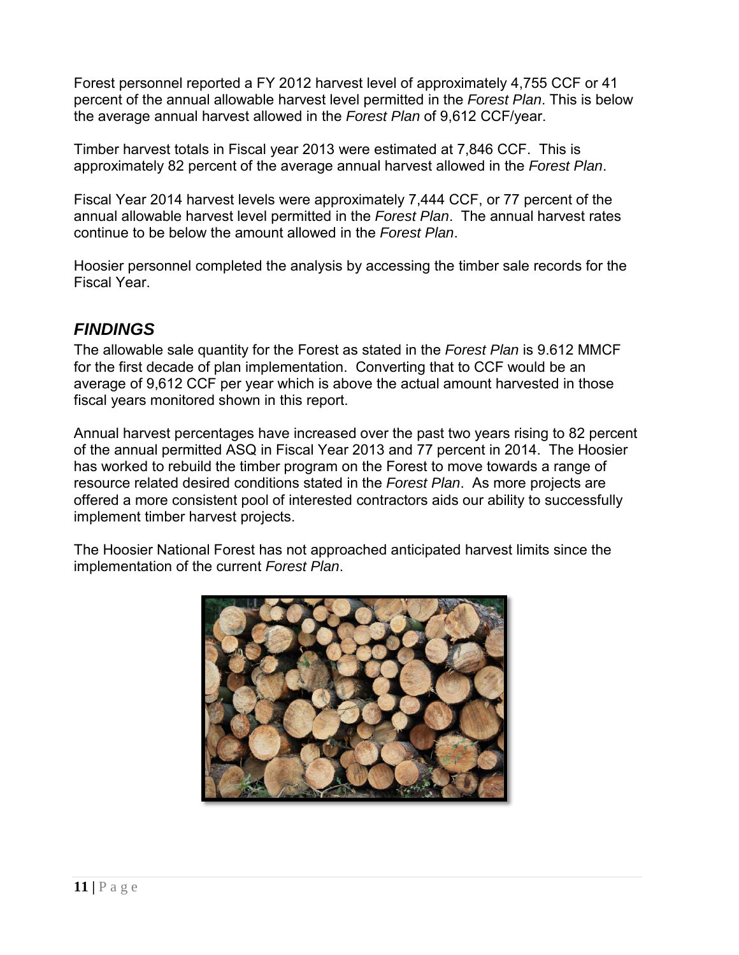Forest personnel reported a FY 2012 harvest level of approximately 4,755 CCF or 41 percent of the annual allowable harvest level permitted in the *Forest Plan*. This is below the average annual harvest allowed in the *Forest Plan* of 9,612 CCF/year.

Timber harvest totals in Fiscal year 2013 were estimated at 7,846 CCF. This is approximately 82 percent of the average annual harvest allowed in the *Forest Plan*.

Fiscal Year 2014 harvest levels were approximately 7,444 CCF, or 77 percent of the annual allowable harvest level permitted in the *Forest Plan*. The annual harvest rates continue to be below the amount allowed in the *Forest Plan*.

Hoosier personnel completed the analysis by accessing the timber sale records for the Fiscal Year.

#### *FINDINGS*

The allowable sale quantity for the Forest as stated in the *Forest Plan* is 9.612 MMCF for the first decade of plan implementation. Converting that to CCF would be an average of 9,612 CCF per year which is above the actual amount harvested in those fiscal years monitored shown in this report.

Annual harvest percentages have increased over the past two years rising to 82 percent of the annual permitted ASQ in Fiscal Year 2013 and 77 percent in 2014. The Hoosier has worked to rebuild the timber program on the Forest to move towards a range of resource related desired conditions stated in the *Forest Plan*. As more projects are offered a more consistent pool of interested contractors aids our ability to successfully implement timber harvest projects.

The Hoosier National Forest has not approached anticipated harvest limits since the implementation of the current *Forest Plan*.

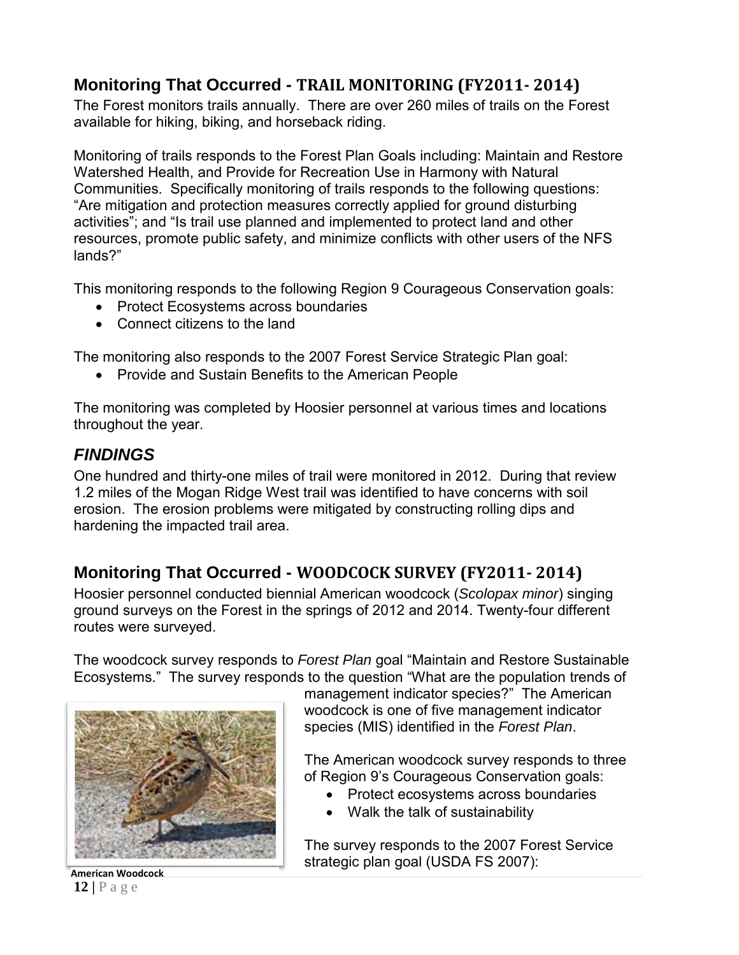## <span id="page-14-0"></span>**Monitoring That Occurred - TRAIL MONITORING (FY2011- 2014)**

The Forest monitors trails annually. There are over 260 miles of trails on the Forest available for hiking, biking, and horseback riding.

Monitoring of trails responds to the Forest Plan Goals including: Maintain and Restore Watershed Health, and Provide for Recreation Use in Harmony with Natural Communities. Specifically monitoring of trails responds to the following questions: "Are mitigation and protection measures correctly applied for ground disturbing activities"; and "Is trail use planned and implemented to protect land and other resources, promote public safety, and minimize conflicts with other users of the NFS lands?"

This monitoring responds to the following Region 9 Courageous Conservation goals:

- Protect Ecosystems across boundaries
- Connect citizens to the land

The monitoring also responds to the 2007 Forest Service Strategic Plan goal:

• Provide and Sustain Benefits to the American People

The monitoring was completed by Hoosier personnel at various times and locations throughout the year.

#### *FINDINGS*

One hundred and thirty-one miles of trail were monitored in 2012. During that review 1.2 miles of the Mogan Ridge West trail was identified to have concerns with soil erosion. The erosion problems were mitigated by constructing rolling dips and hardening the impacted trail area.

# <span id="page-14-1"></span>**Monitoring That Occurred - WOODCOCK SURVEY (FY2011- 2014)**

Hoosier personnel conducted biennial American woodcock (*Scolopax minor*) singing ground surveys on the Forest in the springs of 2012 and 2014. Twenty-four different routes were surveyed.

The woodcock survey responds to *Forest Plan* goal "Maintain and Restore Sustainable Ecosystems." The survey responds to the question "What are the population trends of



**12 |** Page

management indicator species?" The American woodcock is one of five management indicator species (MIS) identified in the *Forest Plan*.

The American woodcock survey responds to three of Region 9's Courageous Conservation goals:

- Protect ecosystems across boundaries
- Walk the talk of sustainability

The survey responds to the 2007 Forest Service strategic plan goal (USDA FS 2007): **American Woodcock**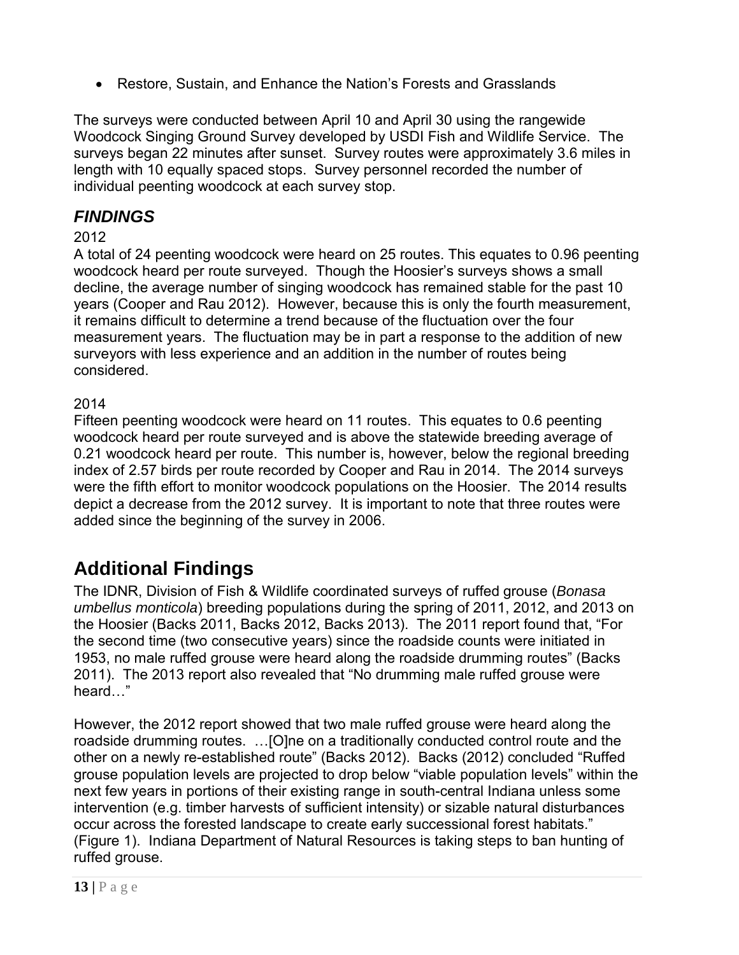• Restore, Sustain, and Enhance the Nation's Forests and Grasslands

The surveys were conducted between April 10 and April 30 using the rangewide Woodcock Singing Ground Survey developed by USDI Fish and Wildlife Service. The surveys began 22 minutes after sunset. Survey routes were approximately 3.6 miles in length with 10 equally spaced stops. Survey personnel recorded the number of individual peenting woodcock at each survey stop.

#### *FINDINGS*

#### 2012

A total of 24 peenting woodcock were heard on 25 routes. This equates to 0.96 peenting woodcock heard per route surveyed. Though the Hoosier's surveys shows a small decline, the average number of singing woodcock has remained stable for the past 10 years (Cooper and Rau 2012). However, because this is only the fourth measurement, it remains difficult to determine a trend because of the fluctuation over the four measurement years. The fluctuation may be in part a response to the addition of new surveyors with less experience and an addition in the number of routes being considered.

#### 2014

Fifteen peenting woodcock were heard on 11 routes. This equates to 0.6 peenting woodcock heard per route surveyed and is above the statewide breeding average of 0.21 woodcock heard per route. This number is, however, below the regional breeding index of 2.57 birds per route recorded by Cooper and Rau in 2014. The 2014 surveys were the fifth effort to monitor woodcock populations on the Hoosier. The 2014 results depict a decrease from the 2012 survey. It is important to note that three routes were added since the beginning of the survey in 2006.

# <span id="page-15-0"></span>**Additional Findings**

The IDNR, Division of Fish & Wildlife coordinated surveys of ruffed grouse (*Bonasa umbellus monticola*) breeding populations during the spring of 2011, 2012, and 2013 on the Hoosier (Backs 2011, Backs 2012, Backs 2013). The 2011 report found that, "For the second time (two consecutive years) since the roadside counts were initiated in 1953, no male ruffed grouse were heard along the roadside drumming routes" (Backs 2011). The 2013 report also revealed that "No drumming male ruffed grouse were heard…"

However, the 2012 report showed that two male ruffed grouse were heard along the roadside drumming routes. …[O]ne on a traditionally conducted control route and the other on a newly re-established route" (Backs 2012). Backs (2012) concluded "Ruffed grouse population levels are projected to drop below "viable population levels" within the next few years in portions of their existing range in south-central Indiana unless some intervention (e.g. timber harvests of sufficient intensity) or sizable natural disturbances occur across the forested landscape to create early successional forest habitats." (Figure 1). Indiana Department of Natural Resources is taking steps to ban hunting of ruffed grouse.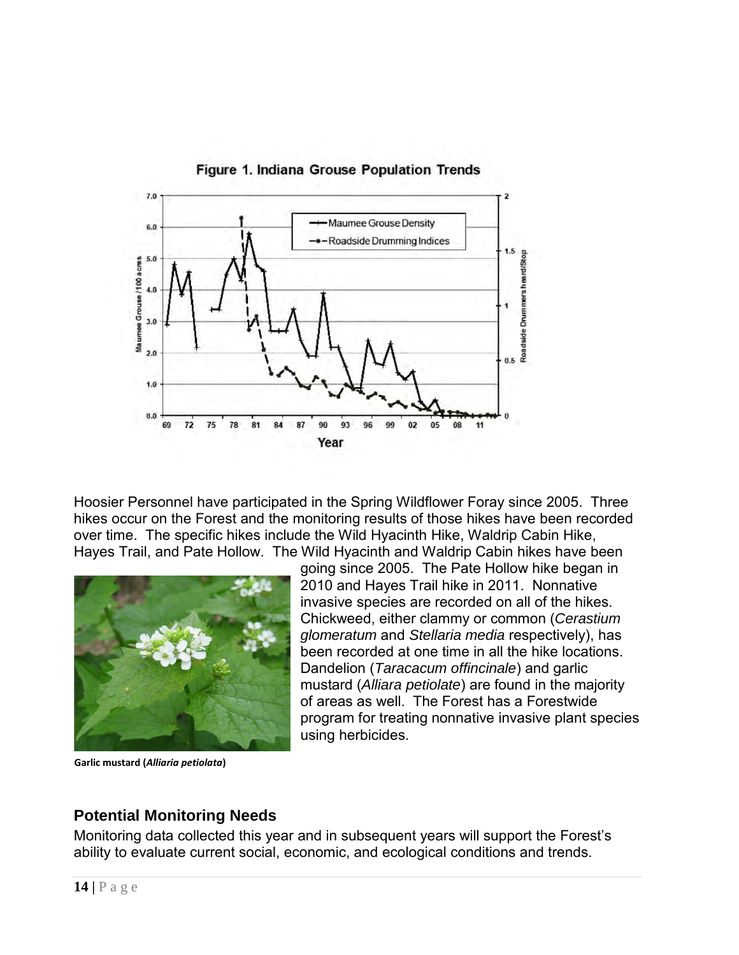

Figure 1. Indiana Grouse Population Trends

Hoosier Personnel have participated in the Spring Wildflower Foray since 2005. Three hikes occur on the Forest and the monitoring results of those hikes have been recorded over time. The specific hikes include the Wild Hyacinth Hike, Waldrip Cabin Hike, Hayes Trail, and Pate Hollow. The Wild Hyacinth and Waldrip Cabin hikes have been



**Garlic mustard (***Alliaria petiolata***)**

<span id="page-16-0"></span>going since 2005. The Pate Hollow hike began in 2010 and Hayes Trail hike in 2011. Nonnative invasive species are recorded on all of the hikes. Chickweed, either clammy or common (*Cerastium glomeratum* and *Stellaria media* respectively), has been recorded at one time in all the hike locations. Dandelion (*Taracacum offincinale*) and garlic mustard (*Alliara petiolate*) are found in the majority of areas as well. The Forest has a Forestwide program for treating nonnative invasive plant species using herbicides.

#### **Potential Monitoring Needs**

Monitoring data collected this year and in subsequent years will support the Forest's ability to evaluate current social, economic, and ecological conditions and trends.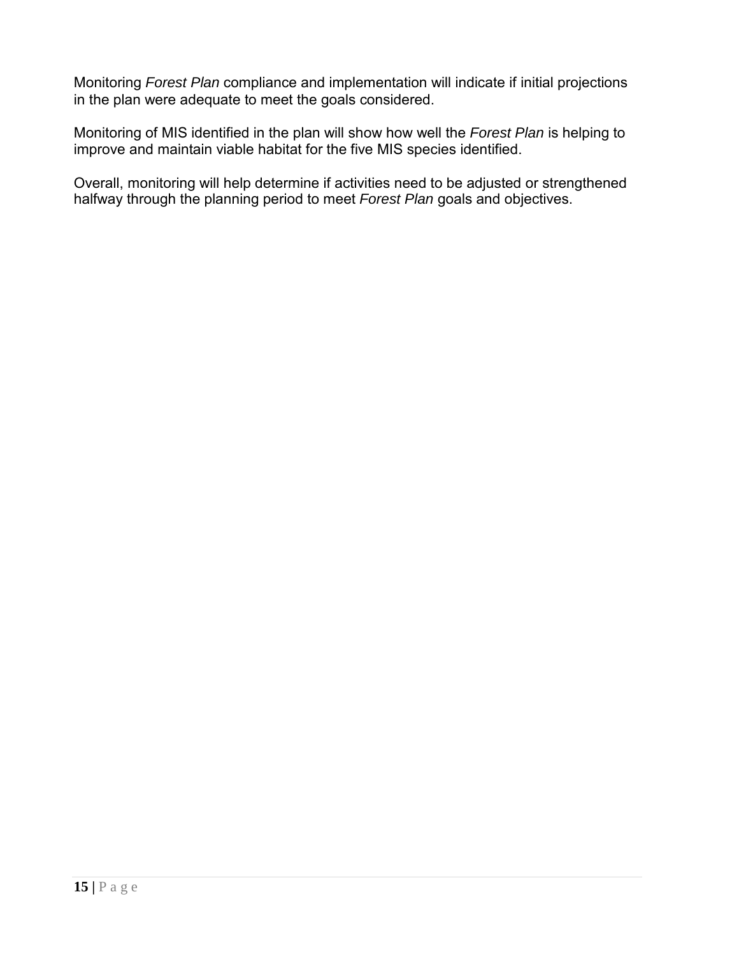Monitoring *Forest Plan* compliance and implementation will indicate if initial projections in the plan were adequate to meet the goals considered.

Monitoring of MIS identified in the plan will show how well the *Forest Plan* is helping to improve and maintain viable habitat for the five MIS species identified.

Overall, monitoring will help determine if activities need to be adjusted or strengthened halfway through the planning period to meet *Forest Plan* goals and objectives.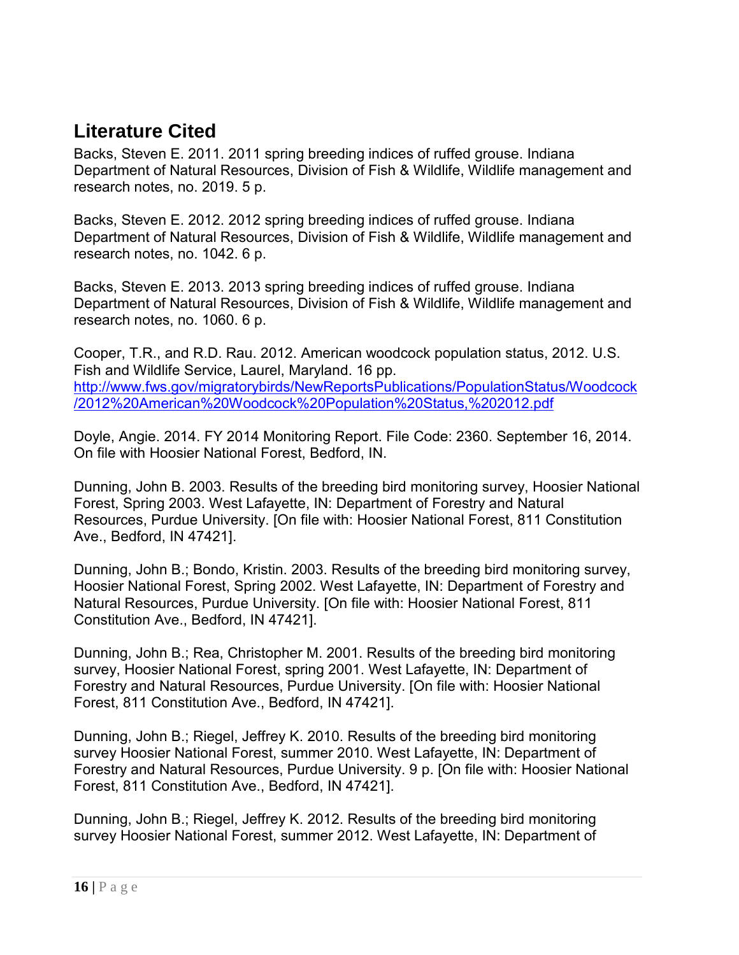# <span id="page-18-0"></span>**Literature Cited**

Backs, Steven E. 2011. 2011 spring breeding indices of ruffed grouse. Indiana Department of Natural Resources, Division of Fish & Wildlife, Wildlife management and research notes, no. 2019. 5 p.

Backs, Steven E. 2012. 2012 spring breeding indices of ruffed grouse. Indiana Department of Natural Resources, Division of Fish & Wildlife, Wildlife management and research notes, no. 1042. 6 p.

Backs, Steven E. 2013. 2013 spring breeding indices of ruffed grouse. Indiana Department of Natural Resources, Division of Fish & Wildlife, Wildlife management and research notes, no. 1060. 6 p.

Cooper, T.R., and R.D. Rau. 2012. American woodcock population status, 2012. U.S. Fish and Wildlife Service, Laurel, Maryland. 16 pp. [http://www.fws.gov/migratorybirds/NewReportsPublications/PopulationStatus/Woodcock](http://www.fws.gov/migratorybirds/NewReportsPublications/PopulationStatus/Woodcock/2012%20American%20Woodcock%20Population%20Status,%202012.pdf) [/2012%20American%20Woodcock%20Population%20Status,%202012.pdf](http://www.fws.gov/migratorybirds/NewReportsPublications/PopulationStatus/Woodcock/2012%20American%20Woodcock%20Population%20Status,%202012.pdf)

Doyle, Angie. 2014. FY 2014 Monitoring Report. File Code: 2360. September 16, 2014. On file with Hoosier National Forest, Bedford, IN.

Dunning, John B. 2003. Results of the breeding bird monitoring survey, Hoosier National Forest, Spring 2003. West Lafayette, IN: Department of Forestry and Natural Resources, Purdue University. [On file with: Hoosier National Forest, 811 Constitution Ave., Bedford, IN 47421].

Dunning, John B.; Bondo, Kristin. 2003. Results of the breeding bird monitoring survey, Hoosier National Forest, Spring 2002. West Lafayette, IN: Department of Forestry and Natural Resources, Purdue University. [On file with: Hoosier National Forest, 811 Constitution Ave., Bedford, IN 47421].

Dunning, John B.; Rea, Christopher M. 2001. Results of the breeding bird monitoring survey, Hoosier National Forest, spring 2001. West Lafayette, IN: Department of Forestry and Natural Resources, Purdue University. [On file with: Hoosier National Forest, 811 Constitution Ave., Bedford, IN 47421].

Dunning, John B.; Riegel, Jeffrey K. 2010. Results of the breeding bird monitoring survey Hoosier National Forest, summer 2010. West Lafayette, IN: Department of Forestry and Natural Resources, Purdue University. 9 p. [On file with: Hoosier National Forest, 811 Constitution Ave., Bedford, IN 47421].

Dunning, John B.; Riegel, Jeffrey K. 2012. Results of the breeding bird monitoring survey Hoosier National Forest, summer 2012. West Lafayette, IN: Department of